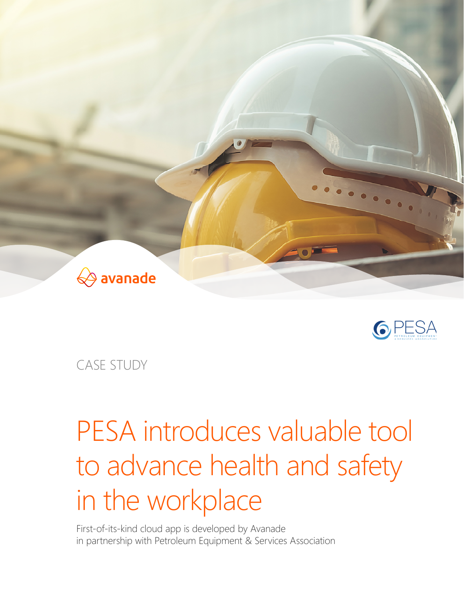



CASE STUDY

# PESA introduces valuable tool to advance health and safety in the workplace

First-of-its-kind cloud app is developed by Avanade in partnership with Petroleum Equipment & Services Association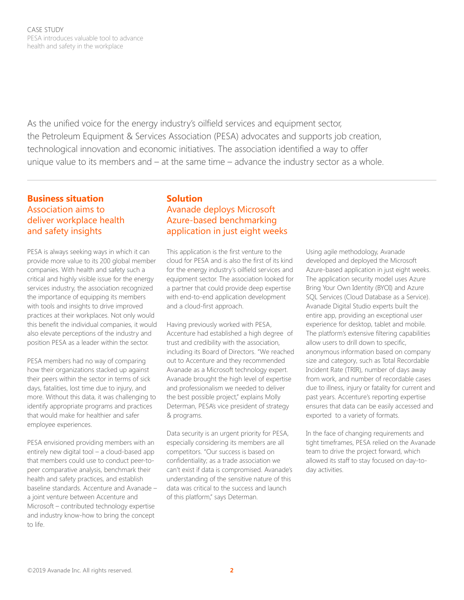As the unified voice for the energy industry's oilfield services and equipment sector, the Petroleum Equipment & Services Association (PESA) advocates and supports job creation, technological innovation and economic initiatives. The association identified a way to offer unique value to its members and – at the same time – advance the industry sector as a whole.

## **Business situation**  Association aims to deliver workplace health and safety insights

PESA is always seeking ways in which it can provide more value to its 200 global member companies. With health and safety such a critical and highly visible issue for the energy services industry, the association recognized the importance of equipping its members with tools and insights to drive improved practices at their workplaces. Not only would this benefit the individual companies, it would also elevate perceptions of the industry and position PESA as a leader within the sector.

PESA members had no way of comparing how their organizations stacked up against their peers within the sector in terms of sick days, fatalities, lost time due to injury, and more. Without this data, it was challenging to identify appropriate programs and practices that would make for healthier and safer employee experiences.

PESA envisioned providing members with an entirely new digital tool – a cloud-based app that members could use to conduct peer-topeer comparative analysis, benchmark their health and safety practices, and establish baseline standards. Accenture and Avanade – a joint venture between Accenture and Microsoft – contributed technology expertise and industry know-how to bring the concept to life.

## **Solution**  Avanade deploys Microsoft Azure-based benchmarking application in just eight weeks

This application is the first venture to the cloud for PESA and is also the first of its kind for the energy industry's oilfield services and equipment sector. The association looked for a partner that could provide deep expertise with end-to-end application development and a cloud-first approach.

Having previously worked with PESA, Accenture had established a high degree of trust and credibility with the association, including its Board of Directors. "We reached out to Accenture and they recommended Avanade as a Microsoft technology expert. Avanade brought the high level of expertise and professionalism we needed to deliver the best possible project," explains Molly Determan, PESA's vice president of strategy & programs.

Data security is an urgent priority for PESA, especially considering its members are all competitors. "Our success is based on confidentiality; as a trade association we can't exist if data is compromised. Avanade's understanding of the sensitive nature of this data was critical to the success and launch of this platform," says Determan.

Using agile methodology, Avanade developed and deployed the Microsoft Azure-based application in just eight weeks. The application security model uses Azure Bring Your Own Identity (BYOI) and Azure SQL Services (Cloud Database as a Service). Avanade Digital Studio experts built the entire app, providing an exceptional user experience for desktop, tablet and mobile. The platform's extensive filtering capabilities allow users to drill down to specific, anonymous information based on company size and category, such as Total Recordable Incident Rate (TRIR), number of days away from work, and number of recordable cases due to illness, injury or fatality for current and past years. Accenture's reporting expertise ensures that data can be easily accessed and exported to a variety of formats.

In the face of changing requirements and tight timeframes, PESA relied on the Avanade team to drive the project forward, which allowed its staff to stay focused on day-today activities.